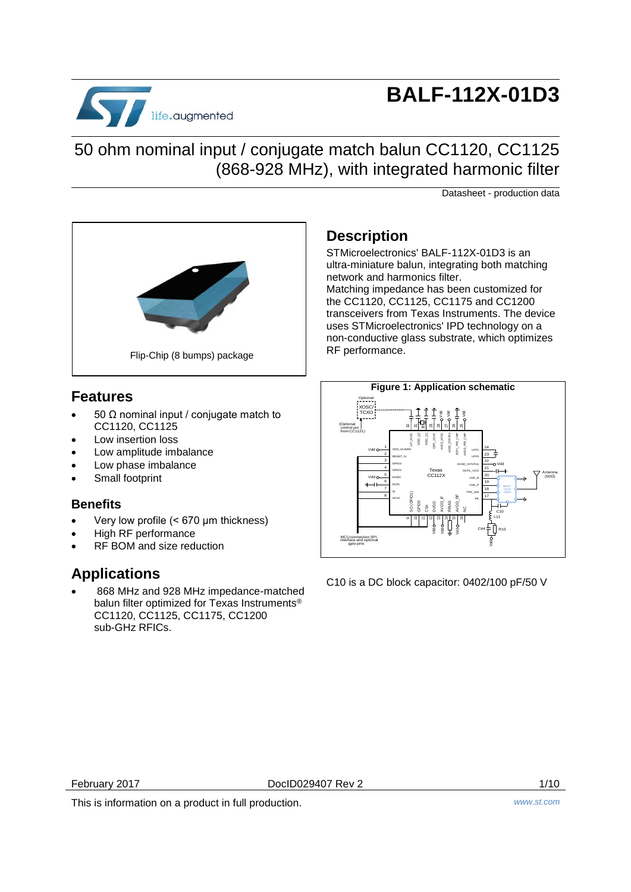

# **BALF-112X-01D3**

### 50 ohm nominal input / conjugate match balun CC1120, CC1125 (868-928 MHz), with integrated harmonic filter

Datasheet - production data



### **Features**

- 50 Ω nominal input / conjugate match to CC1120, CC1125
- Low insertion loss
- Low amplitude imbalance
- Low phase imbalance
- Small footprint

### **Benefits**

- Very low profile (< 670 μm thickness)
- High RF performance
- RF BOM and size reduction

### **Applications**

 868 MHz and 928 MHz impedance-matched balun filter optimized for Texas Instruments® CC1120, CC1125, CC1175, CC1200 sub-GHz RFICs.

### **Description**

STMicroelectronics' BALF-112X-01D3 is an ultra-miniature balun, integrating both matching network and harmonics filter. Matching impedance has been customized for the CC1120, CC1125, CC1175 and CC1200 transceivers from Texas Instruments. The device uses STMicroelectronics' IPD technology on a non-conductive glass substrate, which optimizes RF performance.



C10 is a DC block capacitor: 0402/100 pF/50 V

February 2017 DocID029407 Rev 2 1/10

This is information on a product in full production. *www.st.com*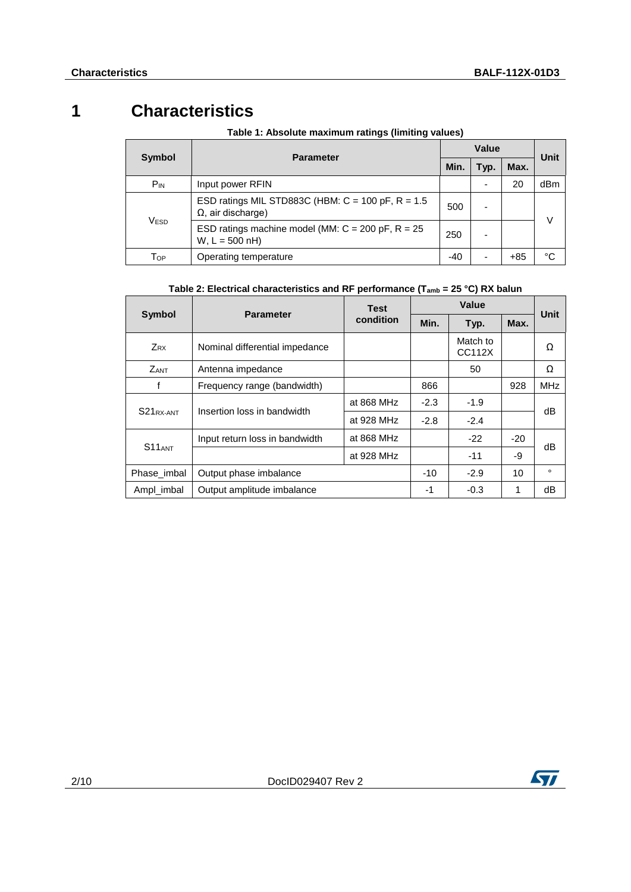### **1 Characteristics**

| Symbol           |                                                                                    |      | <b>Unit</b> |       |        |
|------------------|------------------------------------------------------------------------------------|------|-------------|-------|--------|
|                  | <b>Parameter</b>                                                                   | Min. | Typ.        | Max.  |        |
| $P_{IN}$         | Input power RFIN                                                                   |      |             | 20    | dBm    |
| V <sub>ESD</sub> | ESD ratings MIL STD883C (HBM: $C = 100$ pF, $R = 1.5$<br>$\Omega$ , air discharge) | 500  |             |       | $\vee$ |
|                  | ESD ratings machine model (MM: $C = 200$ pF, $R = 25$<br>$W, L = 500$ nH)          | 250  |             |       |        |
| Top              | Operating temperature                                                              | -40  |             | $+85$ | °C     |

#### **Table 1: Absolute maximum ratings (limiting values)**

#### **Table 2: Electrical characteristics and RF performance (Tamb = 25 °C) RX balun**

|                                | <b>Parameter</b>               | <b>Test</b> | Value  |                    | Unit    |            |
|--------------------------------|--------------------------------|-------------|--------|--------------------|---------|------------|
| <b>Symbol</b>                  |                                | condition   | Min.   | Typ.               | Max.    |            |
| Z <sub>RX</sub>                | Nominal differential impedance |             |        | Match to<br>CC112X |         | Ω          |
| <b>ZANT</b>                    | Antenna impedance              |             |        | 50                 |         | Ω          |
|                                | Frequency range (bandwidth)    |             | 866    |                    | 928     | <b>MHz</b> |
| S <sub>21</sub> RX-ANT         | Insertion loss in bandwidth    | at 868 MHz  | $-2.3$ | $-1.9$             |         | dB         |
|                                |                                | at 928 MHz  | $-2.8$ | $-2.4$             |         |            |
| Input return loss in bandwidth |                                | at 868 MHz  |        | $-22$              | $-20$   | dB         |
| S <sub>11</sub> <sub>ANT</sub> |                                | at 928 MHz  |        | $-11$              | -9      |            |
| Phase imbal                    | Output phase imbalance         | $-10$       | $-2.9$ | 10                 | $\circ$ |            |
| Ampl_imbal                     | Output amplitude imbalance     | -1          | $-0.3$ |                    | dB      |            |

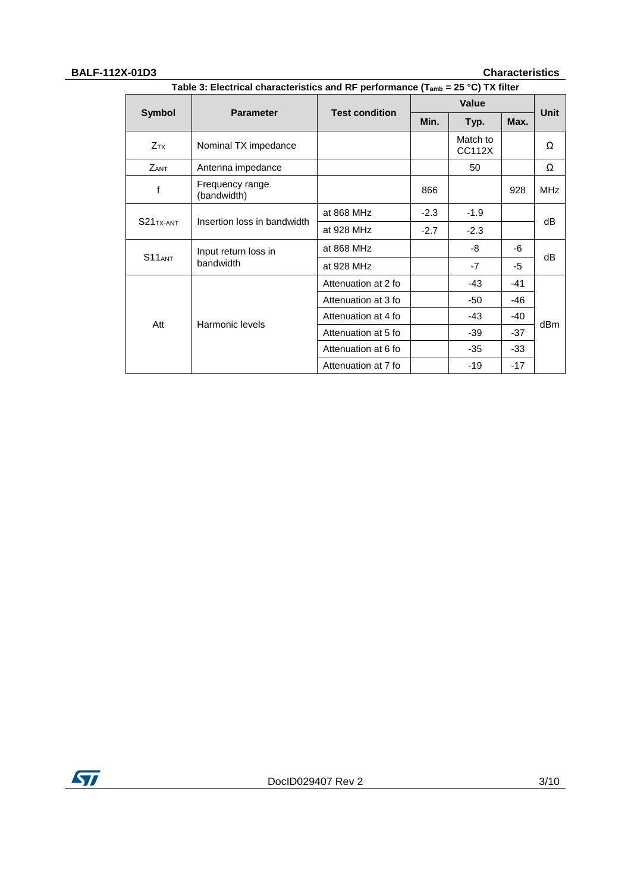#### **BALF-112X-01D3 Characteristics**

|                        |                                | <b>Value</b>                 |        |                    |       |             |  |
|------------------------|--------------------------------|------------------------------|--------|--------------------|-------|-------------|--|
| <b>Symbol</b>          | <b>Parameter</b>               | <b>Test condition</b>        | Min.   | Typ.               | Max.  | <b>Unit</b> |  |
| <b>Z</b> <sub>TX</sub> | Nominal TX impedance           |                              |        | Match to<br>CC112X |       | Ω           |  |
| <b>ZANT</b>            | Antenna impedance              |                              |        | 50                 |       | Ω           |  |
| f                      | Frequency range<br>(bandwidth) |                              | 866    |                    | 928   | <b>MHz</b>  |  |
| $S21TX-ANT$            |                                | at 868 MHz                   | $-2.3$ | $-1.9$             |       |             |  |
|                        | Insertion loss in bandwidth    | at 928 MHz                   | $-2.7$ | $-2.3$             |       | dB          |  |
| $S11_{ANT}$            | Input return loss in           | at 868 MHz                   |        | -8                 | -6    |             |  |
|                        | bandwidth                      | at 928 MHz                   |        | $-7$               | -5    | dB          |  |
|                        |                                | Attenuation at 2 fo          |        | $-43$              | $-41$ |             |  |
| Att                    |                                | Attenuation at 3 fo<br>$-50$ | -46    |                    |       |             |  |
|                        | Harmonic levels                | Attenuation at 4 fo          |        | $-43$              | $-40$ | dBm         |  |
|                        |                                | Attenuation at 5 fo          |        | $-39$              | $-37$ |             |  |
|                        |                                | Attenuation at 6 fo          |        | $-35$              | $-33$ |             |  |
|                        |                                | Attenuation at 7 fo          |        | $-19$              | $-17$ |             |  |

**Table 3: Electrical characteristics and RF performance (Tamb = 25 °C) TX filter**

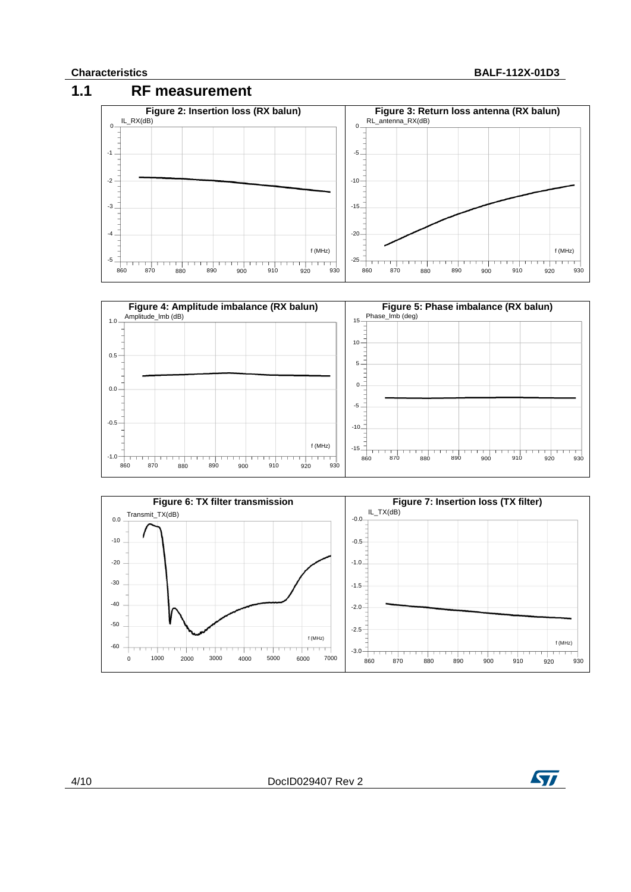#### **Characteristics BALF-112X-01D3**







4/10 DocID029407 Rev 2

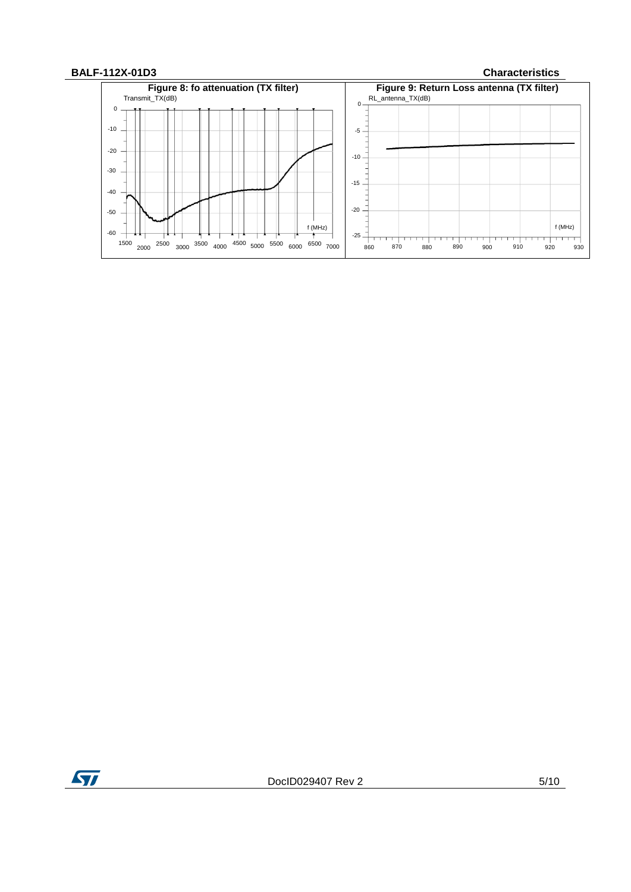#### **BALF-112X-01D3 Characteristics**



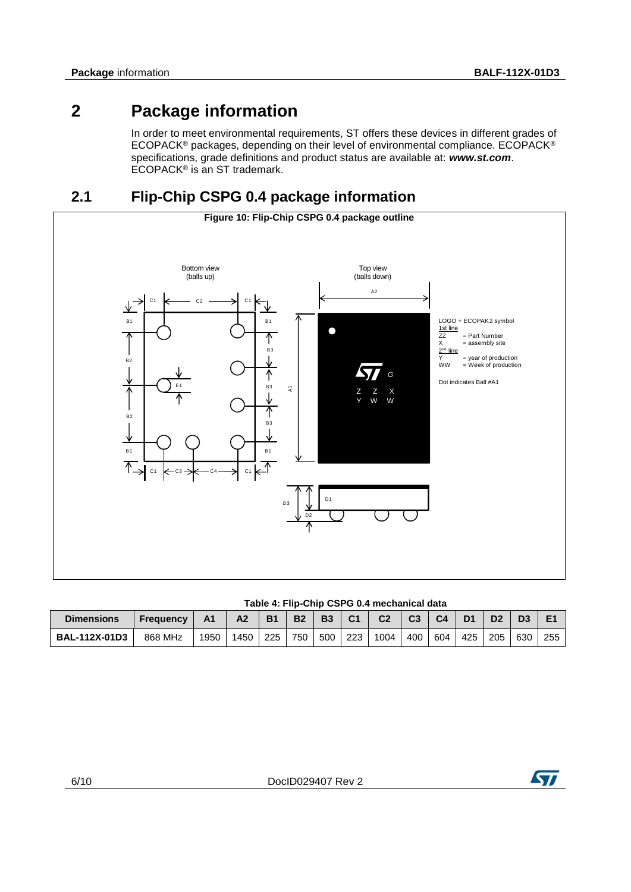### **2 Package information**

In order to meet environmental requirements, ST offers these devices in different grades of ECOPACK® packages, depending on their level of environmental compliance. ECOPACK® specifications, grade definitions and product status are available at: *www.st.com*. ECOPACK® is an ST trademark.

### **2.1 Flip-Chip CSPG 0.4 package information**



#### **Table 4: Flip-Chip CSPG 0.4 mechanical data**

| <b>Dimensions</b>    | <b>Frequency</b> | A <sub>1</sub> | A <sub>2</sub> | <b>B1</b> | <b>B2</b> | <b>B3</b> | C <sub>1</sub> | C <sub>2</sub> | C <sub>3</sub> | C <sub>4</sub> | $D^*$ | D <sub>2</sub> | D3  | E   |
|----------------------|------------------|----------------|----------------|-----------|-----------|-----------|----------------|----------------|----------------|----------------|-------|----------------|-----|-----|
| <b>BAL-112X-01D3</b> | 868 MHz          | 1950           | 1450           | 225       | 750       | 500       | 223            | 1004           | 400            | 604            | 425   | 205            | 630 | 255 |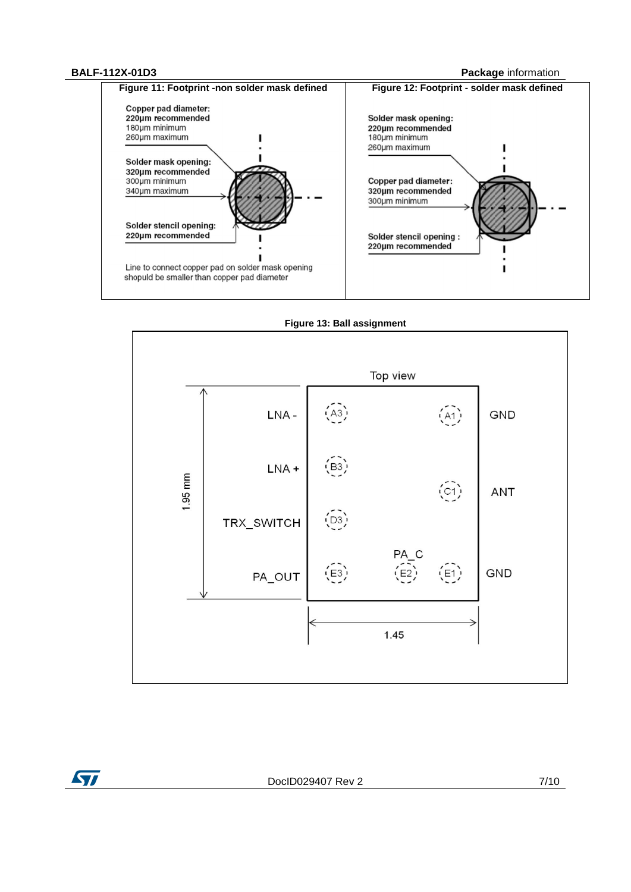#### **BALF-112X-01D3 Package** information





**Figure 13: Ball assignment**

ST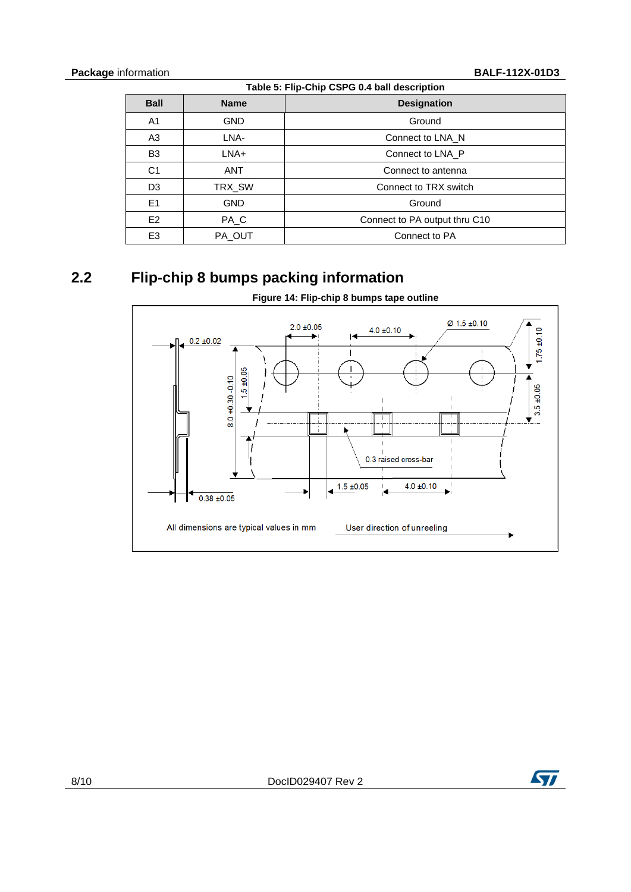| Table 5: Flip-Chip CSPG 0.4 ball description |             |                               |  |  |  |  |  |
|----------------------------------------------|-------------|-------------------------------|--|--|--|--|--|
| <b>Ball</b>                                  | <b>Name</b> | <b>Designation</b>            |  |  |  |  |  |
| A1                                           | <b>GND</b>  | Ground                        |  |  |  |  |  |
| A3                                           | LNA-        | Connect to LNA N              |  |  |  |  |  |
| B <sub>3</sub>                               | LNA+        | Connect to LNA P              |  |  |  |  |  |
| C <sub>1</sub>                               | <b>ANT</b>  | Connect to antenna            |  |  |  |  |  |
| D <sub>3</sub>                               | TRX_SW      | Connect to TRX switch         |  |  |  |  |  |
| E1                                           | <b>GND</b>  | Ground                        |  |  |  |  |  |
| E2                                           | PA_C        | Connect to PA output thru C10 |  |  |  |  |  |
| E <sub>3</sub>                               | PA_OUT      | Connect to PA                 |  |  |  |  |  |

### **2.2 Flip-chip 8 bumps packing information**



**Figure 14: Flip-chip 8 bumps tape outline**

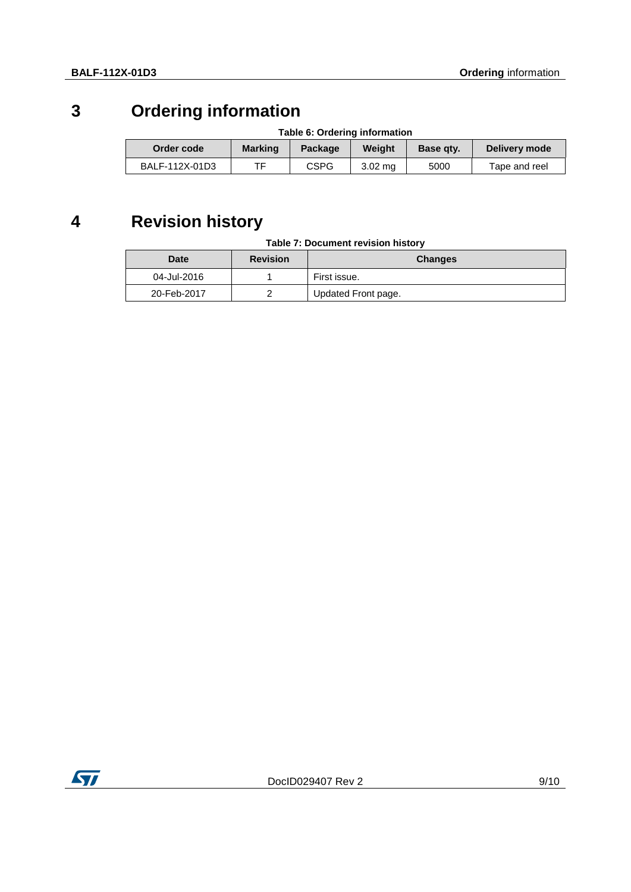## **3 Ordering information**

| Table 6. Orderling information |                |             |                   |           |               |  |
|--------------------------------|----------------|-------------|-------------------|-----------|---------------|--|
| Order code                     | <b>Marking</b> | Package     | Weiaht            | Base gty. | Delivery mode |  |
| BALF-112X-01D3                 |                | <b>CSPG</b> | $3.02 \text{ ma}$ | 5000      | Tape and reel |  |

### **Table 6: Ordering information**

## **4 Revision history**

| Date        | <b>Revision</b> | <b>Changes</b>      |
|-------------|-----------------|---------------------|
| 04-Jul-2016 |                 | First issue.        |
| 20-Feb-2017 |                 | Updated Front page. |

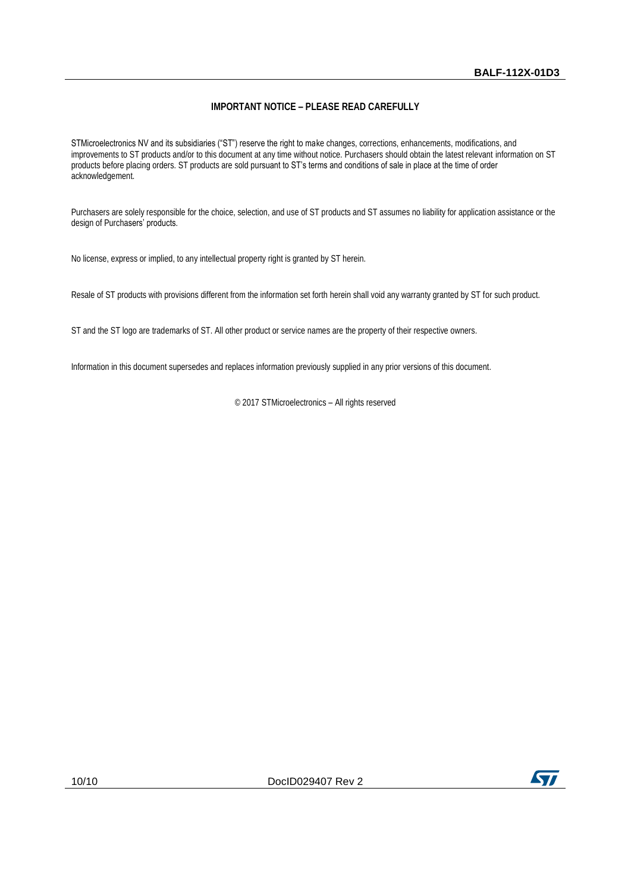#### **IMPORTANT NOTICE – PLEASE READ CAREFULLY**

STMicroelectronics NV and its subsidiaries ("ST") reserve the right to make changes, corrections, enhancements, modifications, and improvements to ST products and/or to this document at any time without notice. Purchasers should obtain the latest relevant information on ST products before placing orders. ST products are sold pursuant to ST's terms and conditions of sale in place at the time of order acknowledgement.

Purchasers are solely responsible for the choice, selection, and use of ST products and ST assumes no liability for application assistance or the design of Purchasers' products.

No license, express or implied, to any intellectual property right is granted by ST herein.

Resale of ST products with provisions different from the information set forth herein shall void any warranty granted by ST for such product.

ST and the ST logo are trademarks of ST. All other product or service names are the property of their respective owners.

Information in this document supersedes and replaces information previously supplied in any prior versions of this document.

© 2017 STMicroelectronics – All rights reserved